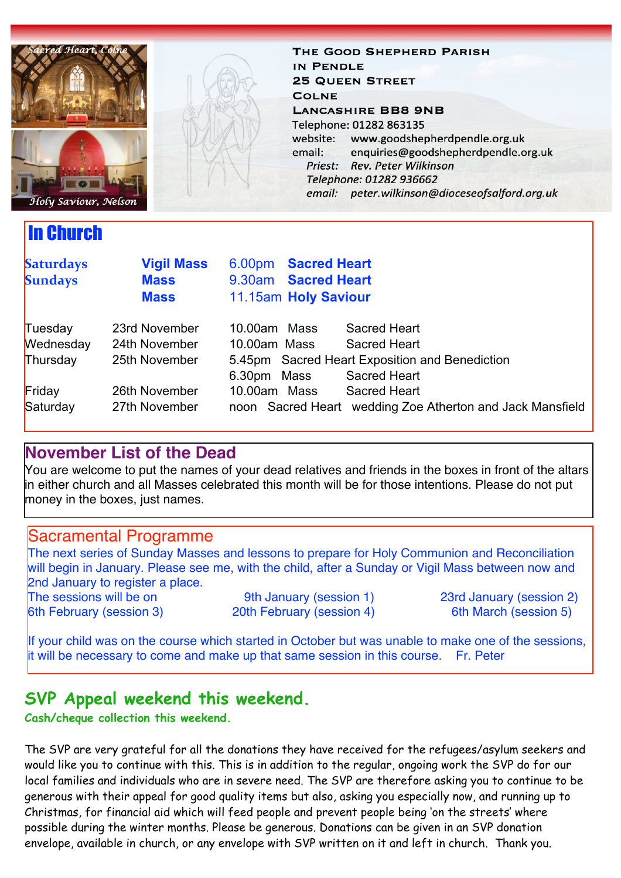

In Church

THE GOOD SHEPHERD PARISH IN PENDLE **25 QUEEN STREET COLNE LANCASHIRE BB8 9NB** Telephone: 01282 863135 website: www.goodshepherdpendle.org.uk email: enquiries@goodshepherdpendle.org.uk Priest: Rev. Peter Wilkinson Telephone: 01282 936662 email: peter.wilkinson@dioceseofsalford.org.uk

| <b>Saturdays</b><br><b>Sundays</b> | <b>Vigil Mass</b><br><b>Mass</b><br><b>Mass</b> | 6.00pm Sacred Heart<br>9.30am Sacred Heart<br>11.15am Holy Saviour |                                                           |
|------------------------------------|-------------------------------------------------|--------------------------------------------------------------------|-----------------------------------------------------------|
| Tuesday                            | 23rd November                                   | 10.00am Mass                                                       | Sacred Heart                                              |
| Wednesday                          | 24th November                                   | 10.00am Mass                                                       | Sacred Heart                                              |
| Thursday                           | 25th November                                   | 5.45pm Sacred Heart Exposition and Benediction                     |                                                           |
|                                    |                                                 | 6.30pm Mass                                                        | <b>Sacred Heart</b>                                       |
| Friday                             | 26th November                                   | 10.00am Mass                                                       | Sacred Heart                                              |
| Saturday                           | 27th November                                   |                                                                    | noon Sacred Heart wedding Zoe Atherton and Jack Mansfield |

#### **November List of the Dead**

You are welcome to put the names of your dead relatives and friends in the boxes in front of the altars in either church and all Masses celebrated this month will be for those intentions. Please do not put money in the boxes, just names.

#### Sacramental Programme

The next series of Sunday Masses and lessons to prepare for Holy Communion and Reconciliation will begin in January. Please see me, with the child, after a Sunday or Vigil Mass between now and 2nd January to register a place.

The sessions will be on 9th January (session 1) 23rd January (session 2)

6th February (session 3) 20th February (session 4) 6th March (session 5)

If your child was on the course which started in October but was unable to make one of the sessions, it will be necessary to come and make up that same session in this course. Fr. Peter

### **SVP Appeal weekend this weekend.**

**Cash/cheque collection this weekend.**

The SVP are very grateful for all the donations they have received for the refugees/asylum seekers and would like you to continue with this. This is in addition to the regular, ongoing work the SVP do for our local families and individuals who are in severe need. The SVP are therefore asking you to continue to be generous with their appeal for good quality items but also, asking you especially now, and running up to Christmas, for financial aid which will feed people and prevent people being 'on the streets' where possible during the winter months. Please be generous. Donations can be given in an SVP donation envelope, available in church, or any envelope with SVP written on it and left in church. Thank you.